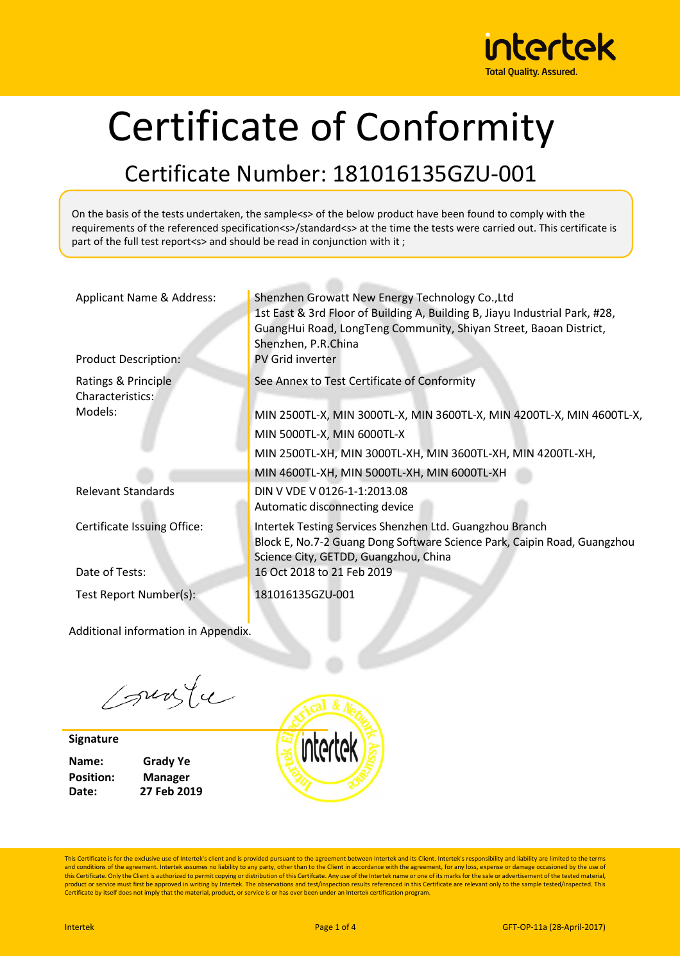

# Certificate of Conformity

#### Certificate Number: 181016135GZU-001

On the basis of the tests undertaken, the sample<s> of the below product have been found to comply with the requirements of the referenced specification<s>/standard<s> at the time the tests were carried out. This certificate is part of the full test report<s> and should be read in conjunction with it ;

| Applicant Name & Address:<br><b>Product Description:</b> | Shenzhen Growatt New Energy Technology Co., Ltd<br>1st East & 3rd Floor of Building A, Building B, Jiayu Industrial Park, #28,<br>GuangHui Road, LongTeng Community, Shiyan Street, Baoan District,<br>Shenzhen, P.R.China<br><b>PV Grid inverter</b> |
|----------------------------------------------------------|-------------------------------------------------------------------------------------------------------------------------------------------------------------------------------------------------------------------------------------------------------|
| Ratings & Principle<br>Characteristics:                  | See Annex to Test Certificate of Conformity                                                                                                                                                                                                           |
| Models:                                                  | MIN 2500TL-X, MIN 3000TL-X, MIN 3600TL-X, MIN 4200TL-X, MIN 4600TL-X,                                                                                                                                                                                 |
|                                                          | MIN 5000TL-X, MIN 6000TL-X                                                                                                                                                                                                                            |
|                                                          | MIN 2500TL-XH, MIN 3000TL-XH, MIN 3600TL-XH, MIN 4200TL-XH,                                                                                                                                                                                           |
|                                                          | MIN 4600TL-XH, MIN 5000TL-XH, MIN 6000TL-XH                                                                                                                                                                                                           |
| <b>Relevant Standards</b>                                | DIN V VDE V 0126-1-1:2013.08<br>Automatic disconnecting device                                                                                                                                                                                        |
| Certificate Issuing Office:                              | Intertek Testing Services Shenzhen Ltd. Guangzhou Branch<br>Block E, No.7-2 Guang Dong Software Science Park, Caipin Road, Guangzhou<br>Science City, GETDD, Guangzhou, China                                                                         |
| Date of Tests:                                           | 16 Oct 2018 to 21 Feb 2019                                                                                                                                                                                                                            |
| Test Report Number(s):                                   | 181016135GZU-001                                                                                                                                                                                                                                      |

Additional information in Appendix.

Courte

**Signature**

**Name: Grady Ye Position: Manager Date: 27 Feb 2019**



This Certificate is for the exclusive use of Intertek's client and is provided pursuant to the agreement between Intertek and its Client. Intertek's responsibility and liability are limited to the terms and conditions of the agreement. Intertek assumes no liability to any party, other than to the Client in accordance with the agreement, for any loss, expense or damage occasioned by the use of<br>this Certificate. Only the Cl product or service must first be approved in writing by Intertek. The observations and test/inspection results referenced in this Certificate are relevant only to the sample tested/inspected. This<br>Certificate by itself doe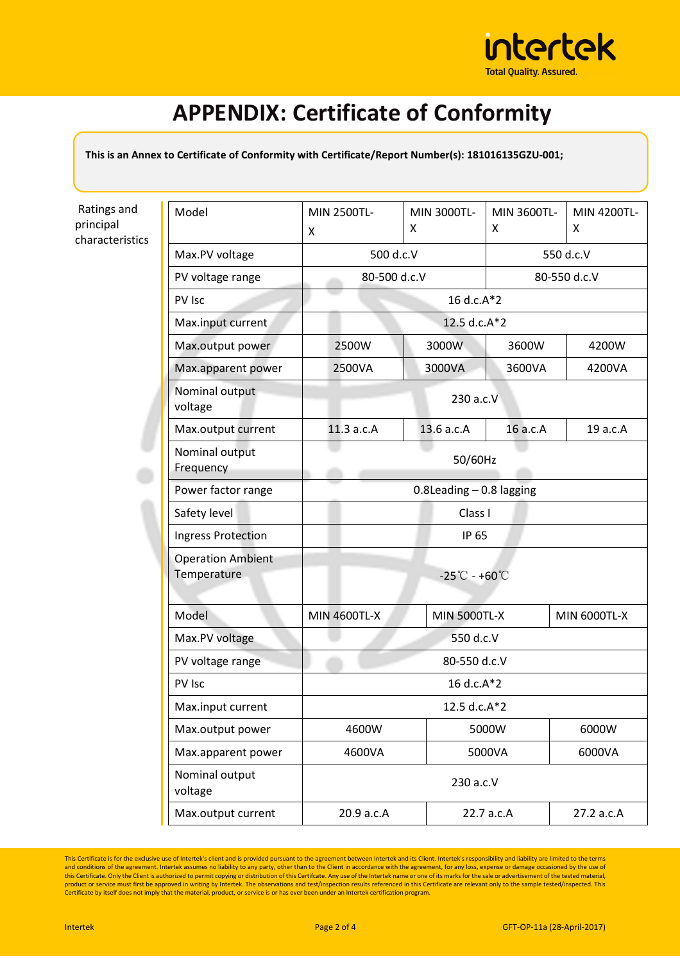

# **APPENDIX: Certificate of Conformity**

**This is an Annex to Certificate of Conformity with Certificate/Report Number(s): 181016135GZU-001;** 

Ratings and principal characteristics

| Model                                   | MIN 2500TL-                                 | MIN 3000TL-<br>x             | MIN 3600TL-<br>x | MIN 4200TL-<br>x    |  |
|-----------------------------------------|---------------------------------------------|------------------------------|------------------|---------------------|--|
|                                         | X                                           |                              |                  |                     |  |
| Max.PV voltage                          |                                             | 500 d.c.V                    |                  | 550 d.c.V           |  |
| PV voltage range                        | 80-500 d.c.V                                |                              | 80-550 d.c.V     |                     |  |
| PV Isc                                  |                                             | 16 d.c.A*2                   |                  |                     |  |
| Max.input current                       | 12.5 d.c.A*2                                |                              |                  |                     |  |
| Max.output power                        | 2500W                                       | 3000W                        | 3600W            | 4200W               |  |
| Max.apparent power                      | 2500VA                                      | 3000VA                       | 3600VA           | 4200VA              |  |
| Nominal output<br>voltage               | 230 a.c.V                                   |                              |                  |                     |  |
| Max.output current                      | 11.3 a.c.A                                  | 13.6 a.c.A                   | 16 a.c.A         | 19 a.c.A            |  |
| Nominal output<br>Frequency             | 50/60Hz                                     |                              |                  |                     |  |
| Power factor range                      |                                             | $0.8$ Leading $-0.8$ lagging |                  |                     |  |
| Safety level                            | Class I                                     |                              |                  |                     |  |
| Ingress Protection                      | IP 65                                       |                              |                  |                     |  |
| <b>Operation Ambient</b><br>Temperature | $-25^{\circ}\text{C} - +60^{\circ}\text{C}$ |                              |                  |                     |  |
| Model                                   | <b>MIN 4600TL-X</b>                         | <b>MIN 5000TL-X</b>          |                  | <b>MIN 6000TL-X</b> |  |
| Max.PV voltage                          | 550 d.c.V                                   |                              |                  |                     |  |
| PV voltage range                        | 80-550 d.c.V                                |                              |                  |                     |  |
| PV Isc                                  | 16 d.c.A*2                                  |                              |                  |                     |  |
| Max.input current                       | 12.5 d.c.A*2                                |                              |                  |                     |  |
| Max.output power                        | 4600W                                       |                              | 5000W            | 6000W               |  |
| Max.apparent power                      | 5000VA<br>4600VA                            |                              |                  | 6000VA              |  |
| Nominal output<br>voltage               | 230 a.c.V                                   |                              |                  |                     |  |
| Max.output current                      | 20.9 a.c.A                                  |                              | 22.7 a.c.A       | 27.2 a.c.A          |  |

This Certificate is for the exclusive use of Intertek's client and is provided pursuant to the agreement between Intertek and its Client. Intertek's responsibility and liability are limited to the terms<br>and conditions of t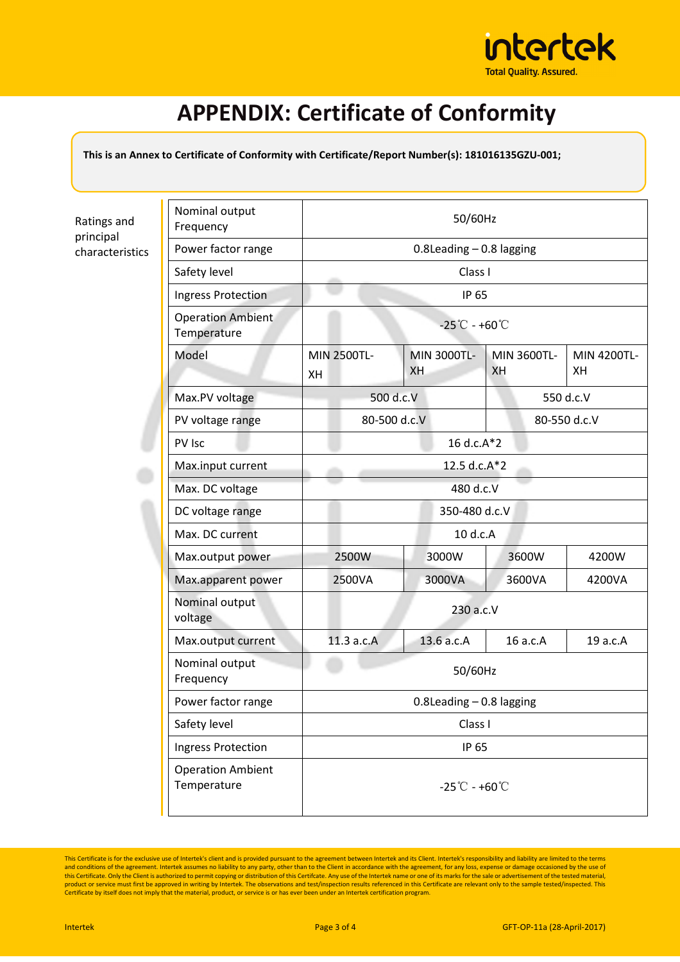

## **APPENDIX: Certificate of Conformity**

**This is an Annex to Certificate of Conformity with Certificate/Report Number(s): 181016135GZU-001;** 

Ratings and principal characteristics

| Nominal output<br>Frequency             | 50/60Hz                                     |                              |                   |                   |  |
|-----------------------------------------|---------------------------------------------|------------------------------|-------------------|-------------------|--|
| Power factor range                      |                                             | $0.8$ Leading $-0.8$ lagging |                   |                   |  |
| Safety level                            |                                             | Class I                      |                   |                   |  |
| Ingress Protection                      | IP 65                                       |                              |                   |                   |  |
| <b>Operation Ambient</b><br>Temperature | $-25^{\circ}\text{C} - +60^{\circ}\text{C}$ |                              |                   |                   |  |
| Model                                   | MIN 2500TL-<br>XH                           | MIN 3000TL-<br><b>XH</b>     | MIN 3600TL-<br>XH | MIN 4200TL-<br>XH |  |
| Max.PV voltage                          |                                             | 500 d.c.V                    |                   | 550 d.c.V         |  |
| PV voltage range                        | 80-500 d.c.V                                |                              |                   | 80-550 d.c.V      |  |
| PV Isc                                  | 16 d.c.A*2                                  |                              |                   |                   |  |
| Max.input current                       | 12.5 d.c.A*2                                |                              |                   |                   |  |
| Max. DC voltage                         | 480 d.c.V                                   |                              |                   |                   |  |
| DC voltage range                        |                                             | 350-480 d.c.V                |                   |                   |  |
| Max. DC current                         | 10 d.c.A                                    |                              |                   |                   |  |
| Max.output power                        | 2500W                                       | 3000W                        | 3600W             | 4200W             |  |
| Max.apparent power                      | 2500VA                                      | 3000VA                       | 3600VA            | 4200VA            |  |
| Nominal output<br>voltage               | 230 a.c.V                                   |                              |                   |                   |  |
| Max.output current                      | 11.3 a.c.A                                  | 13.6 a.c.A                   | 16 a.c.A          | 19 a.c.A          |  |
| Nominal output<br>Frequency             | 50/60Hz                                     |                              |                   |                   |  |
| Power factor range                      | $0.8$ Leading $-0.8$ lagging                |                              |                   |                   |  |
| Safety level                            | Class I                                     |                              |                   |                   |  |
| Ingress Protection                      | IP 65                                       |                              |                   |                   |  |
| <b>Operation Ambient</b><br>Temperature | $-25^{\circ}\text{C} - +60^{\circ}\text{C}$ |                              |                   |                   |  |

This Certificate is for the exclusive use of Intertek's client and is provided pursuant to the agreement between Intertek and its Client. Intertek's responsibility and liability are limited to the terms<br>and conditions of t